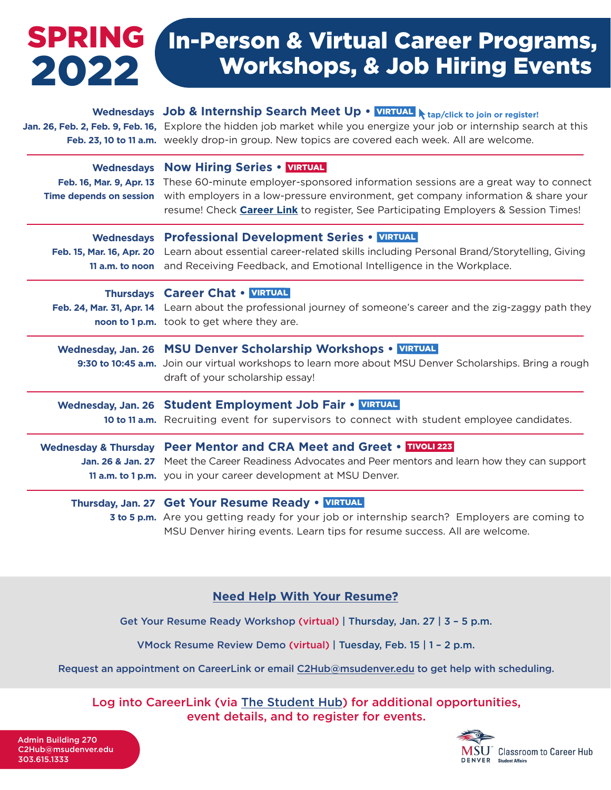# SPRING In-Person & Virtual Career Programs, Workshops, & Job Hiring Events 2022

| Wednesdays Job & Internship Search Meet Up . VIRTUAL A tap/click to join or register!<br>Jan. 26, Feb. 2, Feb. 9, Feb. 16, Explore the hidden job market while you energize your job or internship search at this<br>Feb. 23, 10 to 11 a.m. weekly drop-in group. New topics are covered each week. All are welcome.                                       |
|------------------------------------------------------------------------------------------------------------------------------------------------------------------------------------------------------------------------------------------------------------------------------------------------------------------------------------------------------------|
| Wednesdays Now Hiring Series . VIRTUAL<br>Feb. 16, Mar. 9, Apr. 13 These 60-minute employer-sponsored information sessions are a great way to connect<br>Time depends on session with employers in a low-pressure environment, get company information & share your<br>resume! Check Career Link to register, See Participating Employers & Session Times! |
| Wednesdays Professional Development Series • VIRTUAL<br>Feb. 15, Mar. 16, Apr. 20 Learn about essential career-related skills including Personal Brand/Storytelling, Giving<br>11 a.m. to noon and Receiving Feedback, and Emotional Intelligence in the Workplace.                                                                                        |
| Thursdays Career Chat . VIRTUAL<br>Feb. 24, Mar. 31, Apr. 14 Learn about the professional journey of someone's career and the zig-zaggy path they<br>noon to 1 p.m. took to get where they are.                                                                                                                                                            |
| Wednesday, Jan. 26 MSU Denver Scholarship Workshops • VIRTUAL<br>9:30 to 10:45 a.m. Join our virtual workshops to learn more about MSU Denver Scholarships. Bring a rough<br>draft of your scholarship essay!                                                                                                                                              |
| Wednesday, Jan. 26 Student Employment Job Fair • VIRTUAL<br>10 to 11 a.m. Recruiting event for supervisors to connect with student employee candidates.                                                                                                                                                                                                    |
| Wednesday & Thursday Peer Mentor and CRA Meet and Greet • DIVOLI223<br>Jan. 26 & Jan. 27 Meet the Career Readiness Advocates and Peer mentors and learn how they can support<br>11 a.m. to 1 p.m. you in your career development at MSU Denver.                                                                                                            |
| Thursday, Jan. 27 Get Your Resume Ready . VIRTUAL<br><b>3 to 5 p.m.</b> Are you getting ready for your job or internship search? Employers are coming to<br>MSU Denver hiring events. Learn tips for resume success. All are welcome.                                                                                                                      |

## **Need Help With Your Resume?**

Get Your Resume Ready Workshop (virtual) | Thursday, Jan. 27 | 3 – 5 p.m.

VMock Resume Review Demo (virtual) | Tuesday, Feb. 15 | 1 – 2 p.m.

Request an appointment on CareerLink or email C2Hub@msudenver.edu to get help with scheduling.

Log into CareerLink (via The Student Hub) for additional opportunities, event details, and to register for events.

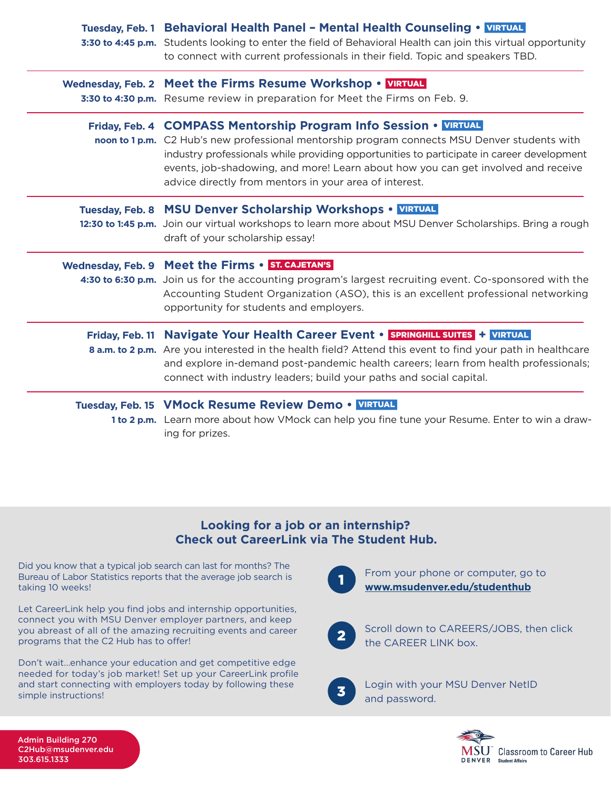| Tuesday, Feb. 1 Behavioral Health Panel - Mental Health Counseling . VIRTUAL<br>3:30 to 4:45 p.m. Students looking to enter the field of Behavioral Health can join this virtual opportunity<br>to connect with current professionals in their field. Topic and speakers TBD.                                                                                                                                 |
|---------------------------------------------------------------------------------------------------------------------------------------------------------------------------------------------------------------------------------------------------------------------------------------------------------------------------------------------------------------------------------------------------------------|
| Wednesday, Feb. 2 Meet the Firms Resume Workshop • VETUAL<br>3:30 to 4:30 p.m. Resume review in preparation for Meet the Firms on Feb. 9.                                                                                                                                                                                                                                                                     |
| Friday, Feb. 4 COMPASS Mentorship Program Info Session • VIRTUAL<br>noon to 1 p.m. C2 Hub's new professional mentorship program connects MSU Denver students with<br>industry professionals while providing opportunities to participate in career development<br>events, job-shadowing, and more! Learn about how you can get involved and receive<br>advice directly from mentors in your area of interest. |
| Tuesday, Feb. 8 MSU Denver Scholarship Workshops • VIRTUAL<br>12:30 to 1:45 p.m. Join our virtual workshops to learn more about MSU Denver Scholarships. Bring a rough<br>draft of your scholarship essay!                                                                                                                                                                                                    |
| Wednesday, Feb. 9 Meet the Firms . ST. CAJETAN'S<br>4:30 to 6:30 p.m. Join us for the accounting program's largest recruiting event. Co-sponsored with the<br>Accounting Student Organization (ASO), this is an excellent professional networking<br>opportunity for students and employers.                                                                                                                  |
| Friday, Feb. 11 Navigate Your Health Career Event • SPRINGHILL SUITES + VIRTUAL<br>8 a.m. to 2 p.m. Are you interested in the health field? Attend this event to find your path in healthcare<br>and explore in-demand post-pandemic health careers; learn from health professionals;<br>connect with industry leaders; build your paths and social capital.                                                  |
| Tuesday, Feb. 15 VMock Resume Review Demo • VIRTUAL<br>1 to 2 p.m. Learn more about how VMock can help you fine tune your Resume. Enter to win a draw-<br>ing for prizes.                                                                                                                                                                                                                                     |

### **Looking for a job or an internship? Check out CareerLink via The Student Hub.**

Did you know that a typical job search can last for months? The Bureau of Labor Statistics reports that the average job search is taking 10 weeks!

Let CareerLink help you find jobs and internship opportunities, connect you with MSU Denver employer partners, and keep you abreast of all of the amazing recruiting events and career programs that the C2 Hub has to offer!

Don't wait…enhance your education and get competitive edge needed for today's job market! Set up your CareerLink profile and start connecting with employers today by following these simple instructions!



From your phone or computer, go to **[www.msudenver.edu/studenthub](http://www.msudenver.edu/studenthub)**



Scroll down to CAREERS/JOBS, then click the CAREER LINK box.



Login with your MSU Denver NetID and password.



Admin Building 270 C2Hub@msudenver.edu 303.615.1333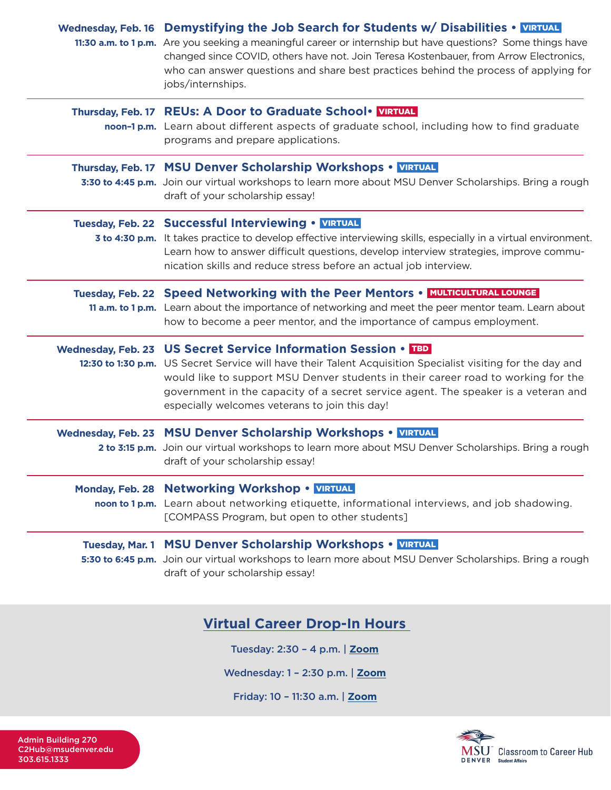| Wednesday, Feb. 16 Demystifying the Job Search for Students w/ Disabilities . VIRTUAL<br>11:30 a.m. to 1 p.m. Are you seeking a meaningful career or internship but have questions? Some things have<br>changed since COVID, others have not. Join Teresa Kostenbauer, from Arrow Electronics,<br>who can answer questions and share best practices behind the process of applying for<br>jobs/internships. |
|-------------------------------------------------------------------------------------------------------------------------------------------------------------------------------------------------------------------------------------------------------------------------------------------------------------------------------------------------------------------------------------------------------------|
| Thursday, Feb. 17 REUs: A Door to Graduate School . VIRTUAL<br>noon-1 p.m. Learn about different aspects of graduate school, including how to find graduate<br>programs and prepare applications.                                                                                                                                                                                                           |
| Thursday, Feb. 17 MSU Denver Scholarship Workshops • VIRTUAL<br>3:30 to 4:45 p.m. Join our virtual workshops to learn more about MSU Denver Scholarships. Bring a rough<br>draft of your scholarship essay!                                                                                                                                                                                                 |
| Tuesday, Feb. 22 Successful Interviewing • VIRTUAL<br>3 to 4:30 p.m. It takes practice to develop effective interviewing skills, especially in a virtual environment.<br>Learn how to answer difficult questions, develop interview strategies, improve commu-<br>nication skills and reduce stress before an actual job interview.                                                                         |
| Tuesday, Feb. 22 Speed Networking with the Peer Mentors . MULTICULTURAL LOUNGE<br>11 a.m. to 1 p.m. Learn about the importance of networking and meet the peer mentor team. Learn about<br>how to become a peer mentor, and the importance of campus employment.                                                                                                                                            |
| Wednesday, Feb. 23 US Secret Service Information Session • TBD<br>12:30 to 1:30 p.m. US Secret Service will have their Talent Acquisition Specialist visiting for the day and<br>would like to support MSU Denver students in their career road to working for the<br>government in the capacity of a secret service agent. The speaker is a veteran and<br>especially welcomes veterans to join this day!  |
| Wednesday, Feb. 23 MSU Denver Scholarship Workshops • VIRTUAL<br>2 to 3:15 p.m. Join our virtual workshops to learn more about MSU Denver Scholarships. Bring a rough<br>draft of your scholarship essay!                                                                                                                                                                                                   |
| Monday, Feb. 28 Networking Workshop . VIRTUAL<br>noon to 1 p.m. Learn about networking etiquette, informational interviews, and job shadowing.<br>[COMPASS Program, but open to other students]                                                                                                                                                                                                             |
| Tuesday, Mar. 1 MSU Denver Scholarship Workshops • VIRTUAL<br>5:30 to 6:45 p.m. Join our virtual workshops to learn more about MSU Denver Scholarships. Bring a rough<br>draft of your scholarship essay!                                                                                                                                                                                                   |

# **Virtual Career Drop-In Hours**

Tuesday: 2:30 – 4 p.m. | **[Zoom](https://nam04.safelinks.protection.outlook.com/?url=https%3A%2F%2Fus02web.zoom.us%2Fj%2F83525886423%3Fpwd%3DUnNoN3BoS0VNRkZ1TU5JTHdweHpXdz09&data=04%7C01%7Cawesley3%40msudenver.edu%7Ceb3e769554b64bf851a008d9df99010d%7C03309ca417334af9a73cf18cc841325c%7C1%7C0%7C637786670523700514%7CUnknown%7CTWFpbGZsb3d8eyJWIjoiMC4wLjAwMDAiLCJQIjoiV2luMzIiLCJBTiI6Ik1haWwiLCJXVCI6Mn0%3D%7C3000&sdata=XUCN3J26%2BSYuTtiMghs9Vo%2BThqOuB%2F%2FBgT2FL28yBmQ%3D&reserved=0)**

Wednesday: 1 – 2:30 p.m. | **[Zoom](https://nam04.safelinks.protection.outlook.com/?url=https%3A%2F%2Fus02web.zoom.us%2Fj%2F84459036820%3Fpwd%3DNnViTHZPREMvOVF3eUhrZjAzUTBYUT09&data=04%7C01%7Cawesley3%40msudenver.edu%7Ceb3e769554b64bf851a008d9df99010d%7C03309ca417334af9a73cf18cc841325c%7C1%7C0%7C637786670523700514%7CUnknown%7CTWFpbGZsb3d8eyJWIjoiMC4wLjAwMDAiLCJQIjoiV2luMzIiLCJBTiI6Ik1haWwiLCJXVCI6Mn0%3D%7C3000&sdata=dqA8%2B1nt2VYANhth%2F19QOoT0XUuBJP5CH8TQz2YKe2k%3D&reserved=0)**

Friday: 10 – 11:30 a.m. | **[Zoom](https://nam04.safelinks.protection.outlook.com/?url=https%3A%2F%2Fus02web.zoom.us%2Fj%2F83191952860%3Fpwd%3DZXlvUzJFNU5mbGhVZnpBYi8zSVpxUT09&data=04%7C01%7Cawesley3%40msudenver.edu%7Ceb3e769554b64bf851a008d9df99010d%7C03309ca417334af9a73cf18cc841325c%7C1%7C0%7C637786670523700514%7CUnknown%7CTWFpbGZsb3d8eyJWIjoiMC4wLjAwMDAiLCJQIjoiV2luMzIiLCJBTiI6Ik1haWwiLCJXVCI6Mn0%3D%7C3000&sdata=Psug138CsH4vGONBWINkdFoYYf%2FxCDP%2BwpaqFByvFf8%3D&reserved=0)**

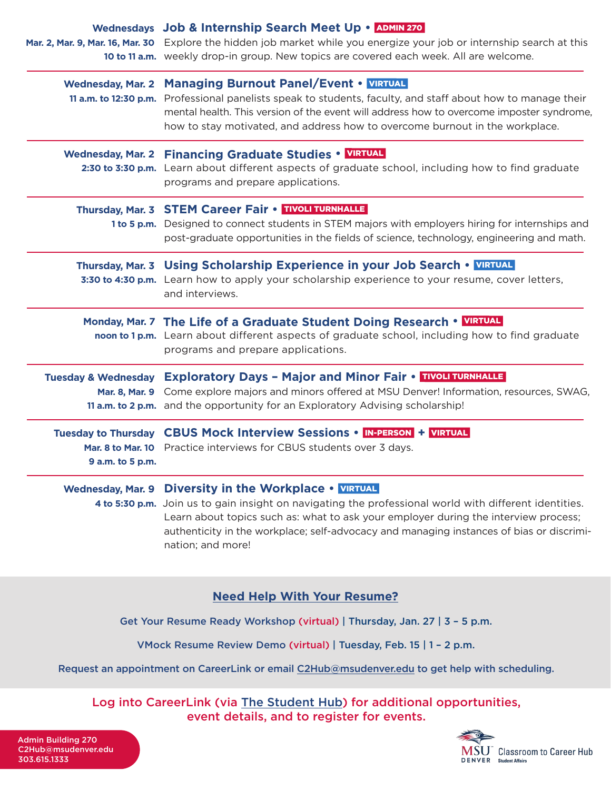|                          | Wednesdays Job & Internship Search Meet Up • ADMIN 270<br>Mar. 2, Mar. 9, Mar. 16, Mar. 30 Explore the hidden job market while you energize your job or internship search at this                                                                                                                                                                                                                                                              |
|--------------------------|------------------------------------------------------------------------------------------------------------------------------------------------------------------------------------------------------------------------------------------------------------------------------------------------------------------------------------------------------------------------------------------------------------------------------------------------|
|                          | 10 to 11 a.m. weekly drop-in group. New topics are covered each week. All are welcome.<br>Wednesday, Mar. 2 Managing Burnout Panel/Event • VIRTUAL<br>11 a.m. to 12:30 p.m. Professional panelists speak to students, faculty, and staff about how to manage their<br>mental health. This version of the event will address how to overcome imposter syndrome,<br>how to stay motivated, and address how to overcome burnout in the workplace. |
|                          | Wednesday, Mar. 2 Financing Graduate Studies • VIRTUAL<br>2:30 to 3:30 p.m. Learn about different aspects of graduate school, including how to find graduate<br>programs and prepare applications.                                                                                                                                                                                                                                             |
|                          | Thursday, Mar. 3 STEM Career Fair . TIVOLI TURNHALLE<br>1 to 5 p.m. Designed to connect students in STEM majors with employers hiring for internships and<br>post-graduate opportunities in the fields of science, technology, engineering and math.                                                                                                                                                                                           |
|                          | Thursday, Mar. 3 Using Scholarship Experience in your Job Search • VIRTUAL<br>3:30 to 4:30 p.m. Learn how to apply your scholarship experience to your resume, cover letters,<br>and interviews.                                                                                                                                                                                                                                               |
|                          | Monday, Mar. 7 The Life of a Graduate Student Doing Research • VIRTUAL<br>noon to 1 p.m. Learn about different aspects of graduate school, including how to find graduate<br>programs and prepare applications.                                                                                                                                                                                                                                |
|                          | Tuesday & Wednesday Exploratory Days - Major and Minor Fair • TIVOLI TURNHALLE<br>Mar. 8, Mar. 9 Come explore majors and minors offered at MSU Denver! Information, resources, SWAG,<br>11 a.m. to 2 p.m. and the opportunity for an Exploratory Advising scholarship!                                                                                                                                                                         |
| 9 a.m. to 5 p.m.         | Tuesday to Thursday CBUS Mock Interview Sessions • IN-PERSON + VIRTUAL<br>Mar. 8 to Mar. 10 Practice interviews for CBUS students over 3 days.                                                                                                                                                                                                                                                                                                 |
| <b>Wednesday, Mar. 9</b> | Diversity in the Workplace • VIRTUAL<br>4 to 5:30 p.m. Join us to gain insight on navigating the professional world with different identities.<br>Learn about topics such as: what to ask your employer during the interview process;<br>authenticity in the workplace; self-advocacy and managing instances of bias or discrimi-<br>nation; and more!                                                                                         |

## **Need Help With Your Resume?**

Get Your Resume Ready Workshop (virtual) | Thursday, Jan. 27 | 3 – 5 p.m.

VMock Resume Review Demo (virtual) | Tuesday, Feb. 15 | 1 – 2 p.m.

Request an appointment on CareerLink or email C2Hub@msudenver.edu to get help with scheduling.

Log into CareerLink (via The Student Hub) for additional opportunities, event details, and to register for events.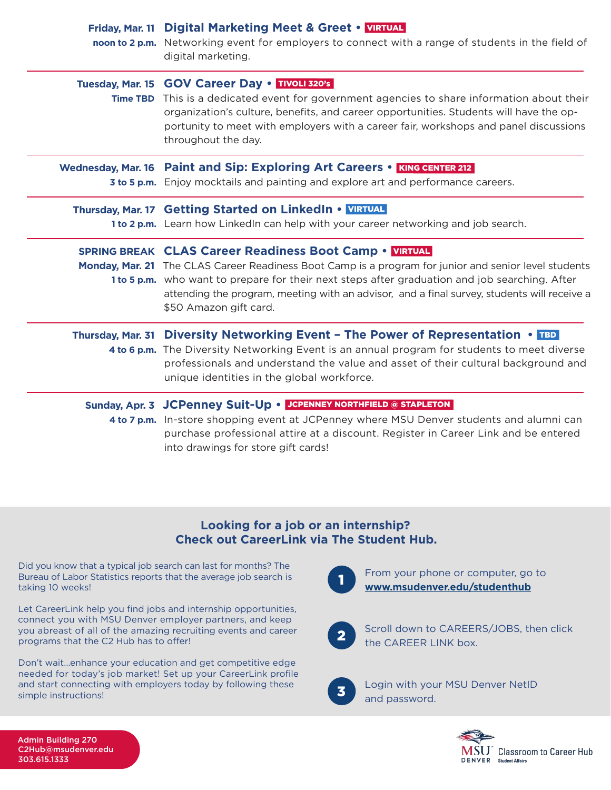|                   | Friday, Mar. 11 Digital Marketing Meet & Greet . VIRTUAL<br>noon to 2 p.m. Networking event for employers to connect with a range of students in the field of<br>digital marketing.                                                                                                                                                                                                               |
|-------------------|---------------------------------------------------------------------------------------------------------------------------------------------------------------------------------------------------------------------------------------------------------------------------------------------------------------------------------------------------------------------------------------------------|
|                   | Tuesday, Mar. 15 GOV Career Day . TIVOLI 320's<br>Time TBD This is a dedicated event for government agencies to share information about their<br>organization's culture, benefits, and career opportunities. Students will have the op-<br>portunity to meet with employers with a career fair, workshops and panel discussions<br>throughout the day.                                            |
|                   | Wednesday, Mar. 16 Paint and Sip: Exploring Art Careers • KING CENTER 212<br>3 to 5 p.m. Enjoy mocktails and painting and explore art and performance careers.                                                                                                                                                                                                                                    |
|                   | Thursday, Mar. 17 Getting Started on LinkedIn . VIRTUAL<br>1 to 2 p.m. Learn how Linkedln can help with your career networking and job search.                                                                                                                                                                                                                                                    |
|                   | <b>SPRING BREAK CLAS Career Readiness Boot Camp . VIRTUAL</b><br>Monday, Mar. 21 The CLAS Career Readiness Boot Camp is a program for junior and senior level students<br>1 to 5 p.m. who want to prepare for their next steps after graduation and job searching. After<br>attending the program, meeting with an advisor, and a final survey, students will receive a<br>\$50 Amazon gift card. |
| Thursday, Mar. 31 | <b>Diversity Networking Event - The Power of Representation • IBD</b><br>4 to 6 p.m. The Diversity Networking Event is an annual program for students to meet diverse<br>professionals and understand the value and asset of their cultural background and<br>unique identities in the global workforce.                                                                                          |
|                   | Sunday, Apr. 3 JCPenney Suit-Up . JCPENNEY NORTHFIELD @ STAPLETON<br>4 to 7 p.m. In-store shopping event at JCPenney where MSU Denver students and alumni can<br>purchase professional attire at a discount. Register in Career Link and be entered<br>into drawings for store gift cards!                                                                                                        |

## **Looking for a job or an internship? Check out CareerLink via The Student Hub.**

Did you know that a typical job search can last for months? The Bureau of Labor Statistics reports that the average job search is taking 10 weeks!

Let CareerLink help you find jobs and internship opportunities, connect you with MSU Denver employer partners, and keep you abreast of all of the amazing recruiting events and career programs that the C2 Hub has to offer!

Don't wait…enhance your education and get competitive edge needed for today's job market! Set up your CareerLink profile and start connecting with employers today by following these simple instructions!



From your phone or computer, go to **[www.msudenver.edu/studenthub](http://www.msudenver.edu/studenthub)**



Scroll down to CAREERS/JOBS, then click the CAREER LINK box.



Login with your MSU Denver NetID and password.



Admin Building 270 C2Hub@msudenver.edu 303.615.1333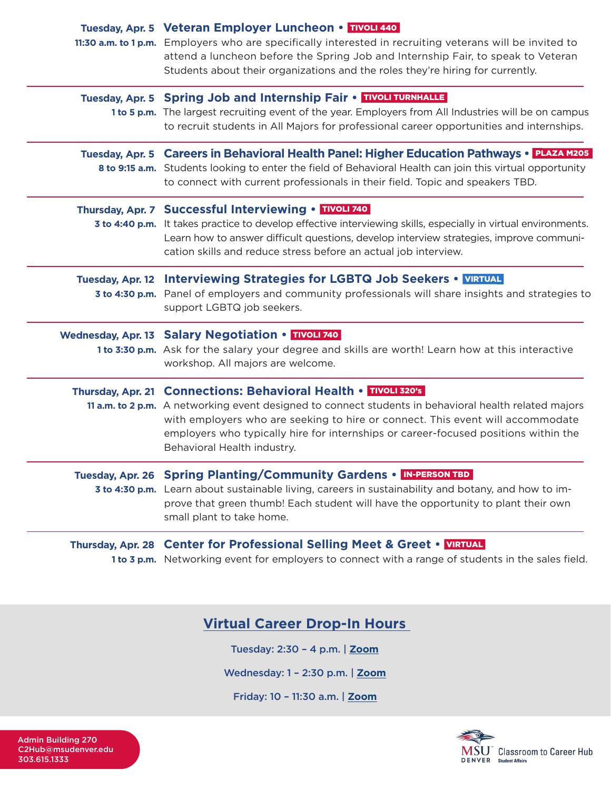|                         | Tuesday, Apr. 5 Veteran Employer Luncheon • TIVOLI 440<br>11:30 a.m. to 1 p.m. Employers who are specifically interested in recruiting veterans will be invited to<br>attend a luncheon before the Spring Job and Internship Fair, to speak to Veteran<br>Students about their organizations and the roles they're hiring for currently.                                         |
|-------------------------|----------------------------------------------------------------------------------------------------------------------------------------------------------------------------------------------------------------------------------------------------------------------------------------------------------------------------------------------------------------------------------|
|                         | Tuesday, Apr. 5 Spring Job and Internship Fair . TIVOLI TURNHALLE<br>1 to 5 p.m. The largest recruiting event of the year. Employers from All Industries will be on campus<br>to recruit students in All Majors for professional career opportunities and internships.                                                                                                           |
|                         | Tuesday, Apr. 5 Careers in Behavioral Health Panel: Higher Education Pathways • PLAZA M205<br>8 to 9:15 a.m. Students looking to enter the field of Behavioral Health can join this virtual opportunity<br>to connect with current professionals in their field. Topic and speakers TBD.                                                                                         |
|                         | Thursday, Apr. 7 Successful Interviewing . TIVOLI 740<br>3 to 4:40 p.m. It takes practice to develop effective interviewing skills, especially in virtual environments.<br>Learn how to answer difficult questions, develop interview strategies, improve communi-<br>cation skills and reduce stress before an actual job interview.                                            |
| <b>Tuesday, Apr. 12</b> | <b>Interviewing Strategies for LGBTQ Job Seekers • VIRTUAL</b><br>3 to 4:30 p.m. Panel of employers and community professionals will share insights and strategies to<br>support LGBTQ job seekers.                                                                                                                                                                              |
|                         | Wednesday, Apr. 13 Salary Negotiation • TIVOLI 740<br>1 to 3:30 p.m. Ask for the salary your degree and skills are worth! Learn how at this interactive<br>workshop. All majors are welcome.                                                                                                                                                                                     |
|                         | Thursday, Apr. 21 Connections: Behavioral Health • TIVOLI 320's<br>11 a.m. to 2 p.m. A networking event designed to connect students in behavioral health related majors<br>with employers who are seeking to hire or connect. This event will accommodate<br>employers who typically hire for internships or career-focused positions within the<br>Behavioral Health industry. |
|                         | Tuesday, Apr. 26 Spring Planting/Community Gardens . IN-PERSON TBD<br>3 to 4:30 p.m. Learn about sustainable living, careers in sustainability and botany, and how to im-<br>prove that green thumb! Each student will have the opportunity to plant their own<br>small plant to take home.                                                                                      |
|                         | Thursday, Apr. 28 Center for Professional Selling Meet & Greet . VIRTUAL<br>1 to 3 p.m. Networking event for employers to connect with a range of students in the sales field.                                                                                                                                                                                                   |

# **Virtual Career Drop-In Hours**

Tuesday: 2:30 – 4 p.m. | **[Zoom](https://nam04.safelinks.protection.outlook.com/?url=https%3A%2F%2Fus02web.zoom.us%2Fj%2F83525886423%3Fpwd%3DUnNoN3BoS0VNRkZ1TU5JTHdweHpXdz09&data=04%7C01%7Cawesley3%40msudenver.edu%7Ceb3e769554b64bf851a008d9df99010d%7C03309ca417334af9a73cf18cc841325c%7C1%7C0%7C637786670523700514%7CUnknown%7CTWFpbGZsb3d8eyJWIjoiMC4wLjAwMDAiLCJQIjoiV2luMzIiLCJBTiI6Ik1haWwiLCJXVCI6Mn0%3D%7C3000&sdata=XUCN3J26%2BSYuTtiMghs9Vo%2BThqOuB%2F%2FBgT2FL28yBmQ%3D&reserved=0)**

Wednesday: 1 – 2:30 p.m. | **[Zoom](https://nam04.safelinks.protection.outlook.com/?url=https%3A%2F%2Fus02web.zoom.us%2Fj%2F84459036820%3Fpwd%3DNnViTHZPREMvOVF3eUhrZjAzUTBYUT09&data=04%7C01%7Cawesley3%40msudenver.edu%7Ceb3e769554b64bf851a008d9df99010d%7C03309ca417334af9a73cf18cc841325c%7C1%7C0%7C637786670523700514%7CUnknown%7CTWFpbGZsb3d8eyJWIjoiMC4wLjAwMDAiLCJQIjoiV2luMzIiLCJBTiI6Ik1haWwiLCJXVCI6Mn0%3D%7C3000&sdata=dqA8%2B1nt2VYANhth%2F19QOoT0XUuBJP5CH8TQz2YKe2k%3D&reserved=0)**

Friday: 10 – 11:30 a.m. | **[Zoom](https://nam04.safelinks.protection.outlook.com/?url=https%3A%2F%2Fus02web.zoom.us%2Fj%2F83191952860%3Fpwd%3DZXlvUzJFNU5mbGhVZnpBYi8zSVpxUT09&data=04%7C01%7Cawesley3%40msudenver.edu%7Ceb3e769554b64bf851a008d9df99010d%7C03309ca417334af9a73cf18cc841325c%7C1%7C0%7C637786670523700514%7CUnknown%7CTWFpbGZsb3d8eyJWIjoiMC4wLjAwMDAiLCJQIjoiV2luMzIiLCJBTiI6Ik1haWwiLCJXVCI6Mn0%3D%7C3000&sdata=Psug138CsH4vGONBWINkdFoYYf%2FxCDP%2BwpaqFByvFf8%3D&reserved=0)**